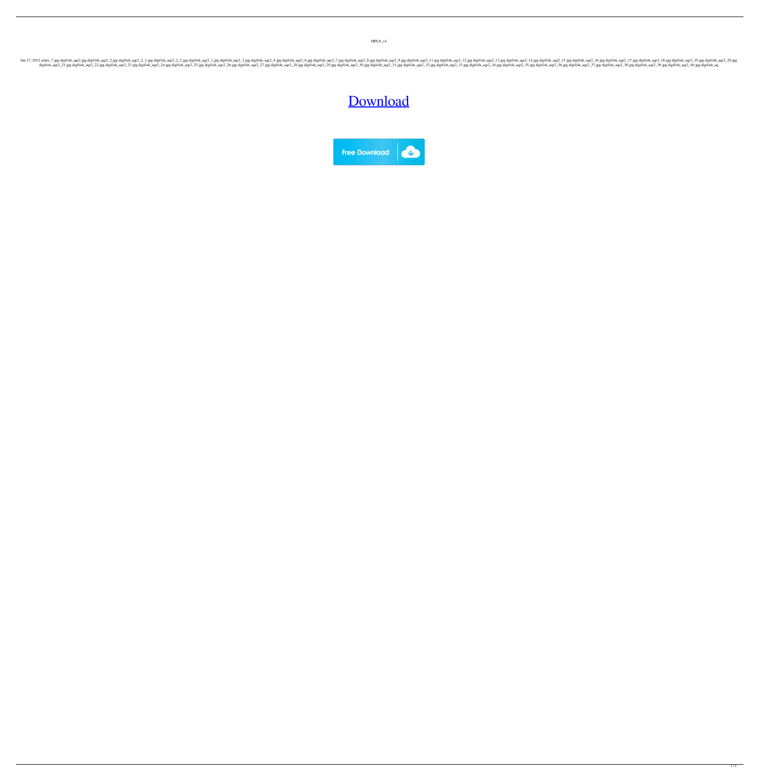MPLS\_v4

 $\overline{1/2}$ 

1, pg digifish\_aqr2\_1.jpg digifish\_aqr2\_2.jpg digifish\_aqr2\_2.jpg digifish\_aqr2\_2\_1.jpg digifish\_aqr2\_2\_1.jpg digifish\_aqr2\_2\_1.jpg digifish\_aqr2\_1.jpg digifish\_aqr2\_1.jpg digifish\_aqr2\_1.jpg digifish\_aqr2\_1.jpg digifish\_a 1.jpg digifish\_aqr2\_22.jpg digifish\_aqr2\_22.jpg digifish\_aqr2\_22.jpg digifish\_aqr2\_22.jpg digifish\_aqr2\_24.jpg digifish\_aqr2\_25.jpg digifish\_aqr2\_25.jpg digifish\_aqr2\_25.jpg digifish\_aqr2\_25.jpg digifish\_aqr2\_25.jpg digifi

## [Download](https://urluss.com/2l1et9)

R **Free Download**